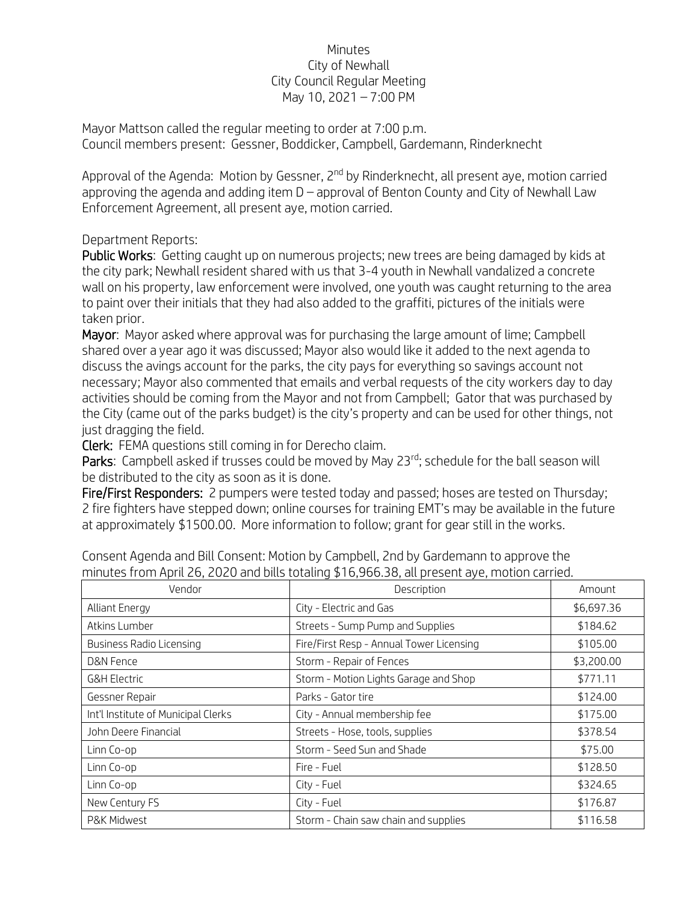## Minutes City of Newhall City Council Regular Meeting May 10, 2021 – 7:00 PM

Mayor Mattson called the regular meeting to order at 7:00 p.m. Council members present: Gessner, Boddicker, Campbell, Gardemann, Rinderknecht

Approval of the Agenda: Motion by Gessner, 2<sup>nd</sup> by Rinderknecht, all present aye, motion carried approving the agenda and adding item  $D$  – approval of Benton County and City of Newhall Law Enforcement Agreement, all present aye, motion carried.

## Department Reports:

Public Works: Getting caught up on numerous projects; new trees are being damaged by kids at the city park; Newhall resident shared with us that 3-4 youth in Newhall vandalized a concrete wall on his property, law enforcement were involved, one youth was caught returning to the area to paint over their initials that they had also added to the graffiti, pictures of the initials were taken prior.

Mayor: Mayor asked where approval was for purchasing the large amount of lime; Campbell shared over a year ago it was discussed; Mayor also would like it added to the next agenda to discuss the avings account for the parks, the city pays for everything so savings account not necessary; Mayor also commented that emails and verbal requests of the city workers day to day activities should be coming from the Mayor and not from Campbell; Gator that was purchased by the City (came out of the parks budget) is the city's property and can be used for other things, not just dragging the field.

Clerk: FEMA questions still coming in for Derecho claim.

Parks: Campbell asked if trusses could be moved by May 23<sup>rd</sup>; schedule for the ball season will be distributed to the city as soon as it is done.

Fire/First Responders: 2 pumpers were tested today and passed; hoses are tested on Thursday; 2 fire fighters have stepped down; online courses for training EMT's may be available in the future at approximately \$1500.00. More information to follow; grant for gear still in the works.

| Vendor                              | Description                              | Amount     |
|-------------------------------------|------------------------------------------|------------|
| <b>Alliant Energy</b>               | City - Electric and Gas                  | \$6,697.36 |
| Atkins Lumber                       | Streets - Sump Pump and Supplies         | \$184.62   |
| <b>Business Radio Licensing</b>     | Fire/First Resp - Annual Tower Licensing | \$105.00   |
| D&N Fence                           | Storm - Repair of Fences                 | \$3,200.00 |
| <b>G&amp;H Electric</b>             | Storm - Motion Lights Garage and Shop    | \$771.11   |
| Gessner Repair                      | Parks - Gator tire                       | \$124.00   |
| Int'l Institute of Municipal Clerks | City - Annual membership fee             | \$175.00   |
| John Deere Financial                | Streets - Hose, tools, supplies          | \$378.54   |
| Linn Co-op                          | Storm - Seed Sun and Shade               | \$75.00    |
| Linn Co-op                          | Fire - Fuel                              | \$128.50   |
| Linn Co-op                          | City - Fuel                              | \$324.65   |
| New Century FS                      | City - Fuel                              | \$176.87   |
| P&K Midwest                         | Storm - Chain saw chain and supplies     | \$116.58   |

Consent Agenda and Bill Consent: Motion by Campbell, 2nd by Gardemann to approve the minutes from April 26, 2020 and bills totaling \$16,966.38, all present aye, motion carried.